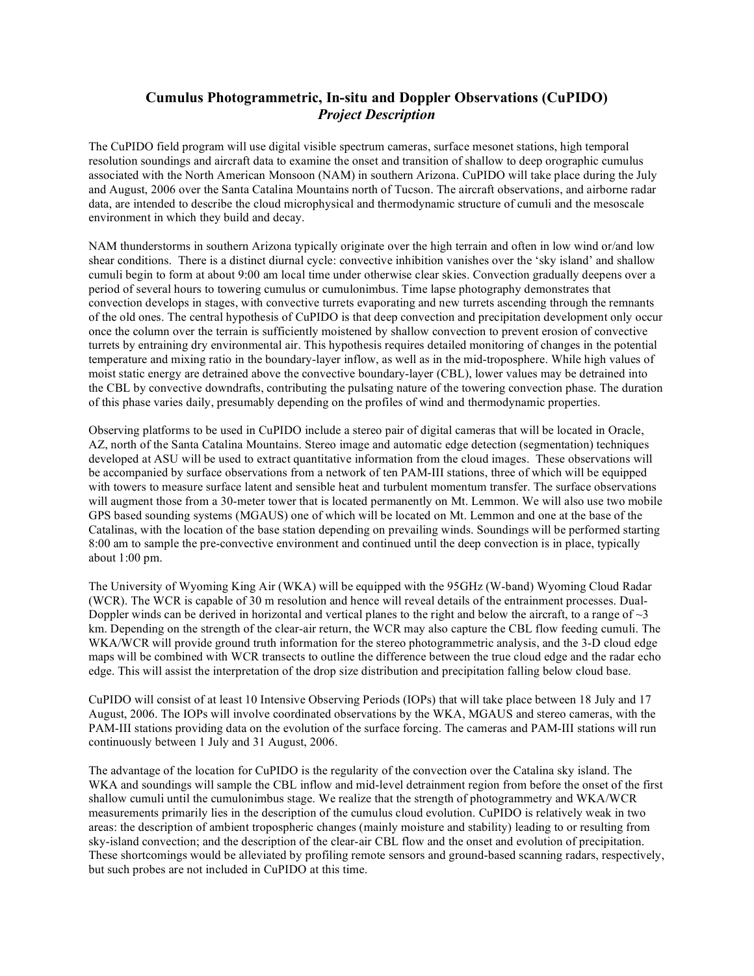## **Cumulus Photogrammetric, In-situ and Doppler Observations (CuPIDO)** *Project Description*

The CuPIDO field program will use digital visible spectrum cameras, surface mesonet stations, high temporal resolution soundings and aircraft data to examine the onset and transition of shallow to deep orographic cumulus associated with the North American Monsoon (NAM) in southern Arizona. CuPIDO will take place during the July and August, 2006 over the Santa Catalina Mountains north of Tucson. The aircraft observations, and airborne radar data, are intended to describe the cloud microphysical and thermodynamic structure of cumuli and the mesoscale environment in which they build and decay.

NAM thunderstorms in southern Arizona typically originate over the high terrain and often in low wind or/and low shear conditions. There is a distinct diurnal cycle: convective inhibition vanishes over the 'sky island' and shallow cumuli begin to form at about 9:00 am local time under otherwise clear skies. Convection gradually deepens over a period of several hours to towering cumulus or cumulonimbus. Time lapse photography demonstrates that convection develops in stages, with convective turrets evaporating and new turrets ascending through the remnants of the old ones. The central hypothesis of CuPIDO is that deep convection and precipitation development only occur once the column over the terrain is sufficiently moistened by shallow convection to prevent erosion of convective turrets by entraining dry environmental air. This hypothesis requires detailed monitoring of changes in the potential temperature and mixing ratio in the boundary-layer inflow, as well as in the mid-troposphere. While high values of moist static energy are detrained above the convective boundary-layer (CBL), lower values may be detrained into the CBL by convective downdrafts, contributing the pulsating nature of the towering convection phase. The duration of this phase varies daily, presumably depending on the profiles of wind and thermodynamic properties.

Observing platforms to be used in CuPIDO include a stereo pair of digital cameras that will be located in Oracle, AZ, north of the Santa Catalina Mountains. Stereo image and automatic edge detection (segmentation) techniques developed at ASU will be used to extract quantitative information from the cloud images. These observations will be accompanied by surface observations from a network of ten PAM-III stations, three of which will be equipped with towers to measure surface latent and sensible heat and turbulent momentum transfer. The surface observations will augment those from a 30-meter tower that is located permanently on Mt. Lemmon. We will also use two mobile GPS based sounding systems (MGAUS) one of which will be located on Mt. Lemmon and one at the base of the Catalinas, with the location of the base station depending on prevailing winds. Soundings will be performed starting 8:00 am to sample the pre-convective environment and continued until the deep convection is in place, typically about 1:00 pm.

The University of Wyoming King Air (WKA) will be equipped with the 95GHz (W-band) Wyoming Cloud Radar (WCR). The WCR is capable of 30 m resolution and hence will reveal details of the entrainment processes. Dual-Doppler winds can be derived in horizontal and vertical planes to the right and below the aircraft, to a range of  $\sim$ 3 km. Depending on the strength of the clear-air return, the WCR may also capture the CBL flow feeding cumuli. The WKA/WCR will provide ground truth information for the stereo photogrammetric analysis, and the 3-D cloud edge maps will be combined with WCR transects to outline the difference between the true cloud edge and the radar echo edge. This will assist the interpretation of the drop size distribution and precipitation falling below cloud base.

CuPIDO will consist of at least 10 Intensive Observing Periods (IOPs) that will take place between 18 July and 17 August, 2006. The IOPs will involve coordinated observations by the WKA, MGAUS and stereo cameras, with the PAM-III stations providing data on the evolution of the surface forcing. The cameras and PAM-III stations will run continuously between 1 July and 31 August, 2006.

The advantage of the location for CuPIDO is the regularity of the convection over the Catalina sky island. The WKA and soundings will sample the CBL inflow and mid-level detrainment region from before the onset of the first shallow cumuli until the cumulonimbus stage. We realize that the strength of photogrammetry and WKA/WCR measurements primarily lies in the description of the cumulus cloud evolution. CuPIDO is relatively weak in two areas: the description of ambient tropospheric changes (mainly moisture and stability) leading to or resulting from sky-island convection; and the description of the clear-air CBL flow and the onset and evolution of precipitation. These shortcomings would be alleviated by profiling remote sensors and ground-based scanning radars, respectively, but such probes are not included in CuPIDO at this time.